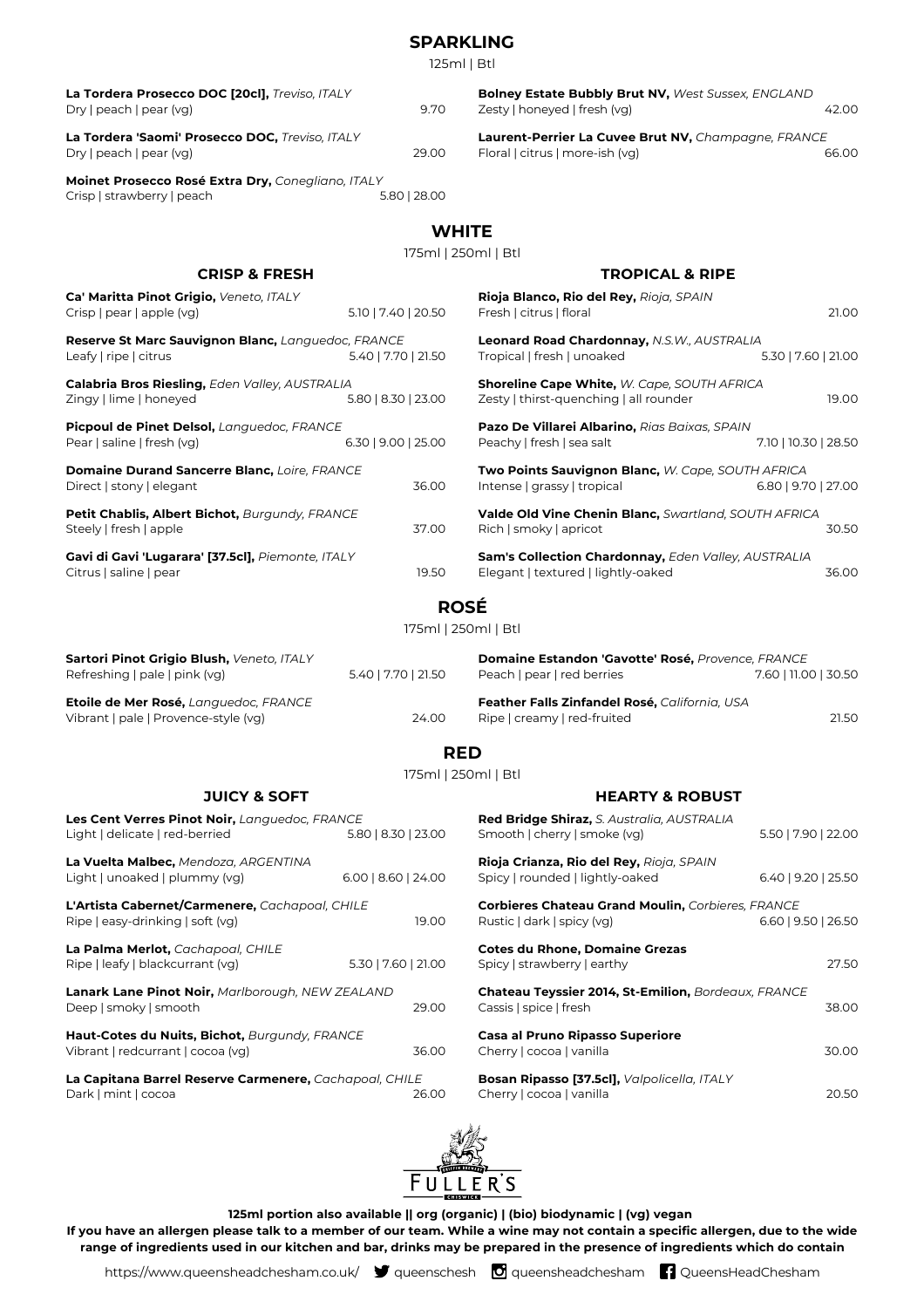|                                                                                                   |                           | <b>SPARKLING</b><br>125ml   Btl                                                                    |                       |
|---------------------------------------------------------------------------------------------------|---------------------------|----------------------------------------------------------------------------------------------------|-----------------------|
| La Tordera Prosecco DOC [20cl], Treviso, ITALY<br>Dry   peach   pear (vg)                         | 9.70                      | Bolney Estate Bubbly Brut NV, West Sussex, ENGLAND<br>Zesty   honeyed   fresh (vg)                 | 42.00                 |
| La Tordera 'Saomi' Prosecco DOC, Treviso, ITALY<br>Dry   peach   pear (vg)                        | 29.00                     | Laurent-Perrier La Cuvee Brut NV, Champagne, FRANCE<br>Floral   citrus   more-ish (vg)             | 66.00                 |
| Moinet Prosecco Rosé Extra Dry, Conegliano, ITALY<br>Crisp   strawberry   peach                   | 5.80   28.00              |                                                                                                    |                       |
|                                                                                                   |                           | <b>WHITE</b><br>175ml   250ml   Btl                                                                |                       |
| <b>CRISP &amp; FRESH</b>                                                                          |                           | <b>TROPICAL &amp; RIPE</b>                                                                         |                       |
| Ca' Maritta Pinot Grigio, Veneto, ITALY<br>Crisp   pear   apple (vg)                              | 5.10   7.40   20.50       | Rioja Blanco, Rio del Rey, Rioja, SPAIN<br>Fresh   citrus   floral                                 | 21.00                 |
| Reserve St Marc Sauvignon Blanc, Languedoc, FRANCE<br>Leafy   ripe   citrus                       | 5.40   7.70   21.50       | Leonard Road Chardonnay, N.S.W., AUSTRALIA<br>Tropical   fresh   unoaked                           | 5.30   7.60   21.00   |
| Calabria Bros Riesling, Eden Valley, AUSTRALIA<br>Zingy   lime   honeyed                          | 5.80   8.30   23.00       | Shoreline Cape White, W. Cape, SOUTH AFRICA<br>Zesty   thirst-quenching   all rounder              | 19.00                 |
| Picpoul de Pinet Delsol, Languedoc, FRANCE<br>Pear   saline   fresh (vg)<br>$6.30$   9.00   25.00 |                           | Pazo De Villarei Albarino, Rias Baixas, SPAIN<br>Peachy   fresh   sea salt<br>7.10   10.30   28.50 |                       |
| Domaine Durand Sancerre Blanc, Loire, FRANCE<br>Direct   stony   elegant                          | 36.00                     | Two Points Sauvignon Blanc, W. Cape, SOUTH AFRICA<br>Intense   grassy   tropical                   | 6.80   9.70   27.00   |
| Petit Chablis, Albert Bichot, Burgundy, FRANCE<br>Steely   fresh   apple<br>37.00                 |                           | Valde Old Vine Chenin Blanc, Swartland, SOUTH AFRICA<br>Rich   smoky   apricot<br>30.50            |                       |
| Gavi di Gavi 'Lugarara' [37.5cl], Piemonte, ITALY<br>Citrus   saline   pear                       | 19.50                     | Sam's Collection Chardonnay, Eden Valley, AUSTRALIA<br>Elegant   textured   lightly-oaked          | 36.00                 |
|                                                                                                   |                           | <b>ROSÉ</b>                                                                                        |                       |
|                                                                                                   |                           | 175ml   250ml   Btl                                                                                |                       |
| Sartori Pinot Grigio Blush, Veneto, ITALY<br>Refreshing   pale   pink (vg)                        | 5.40   7.70   21.50       | Domaine Estandon 'Gavotte' Rosé, Provence, FRANCE<br>Peach   pear   red berries                    | 7.60   11.00   30.50  |
| <b>Etoile de Mer Rosé,</b> Languedoc, FRANCE<br>Vibrant   pale   Provence-style (vg)              | 24.00                     | Feather Falls Zinfandel Rosé, California, USA<br>Ripe   creamy   red-fruited                       | 21.50                 |
|                                                                                                   |                           | <b>RED</b>                                                                                         |                       |
| <b>JUICY &amp; SOFT</b>                                                                           |                           | 175ml   250ml   Btl<br><b>HEARTY &amp; ROBUST</b>                                                  |                       |
| Les Cent Verres Pinot Noir, Languedoc, FRANCE<br>Light   delicate   red-berried                   | 5.80   8.30   23.00       | Red Bridge Shiraz, S. Australia, AUSTRALIA<br>Smooth   cherry   smoke (vg)                         | 5.50   7.90   22.00   |
| La Vuelta Malbec, Mendoza, ARGENTINA<br>Light   unoaked   plummy (vg)                             | $6.00$   $8.60$   $24.00$ | Rioja Crianza, Rio del Rey, Rioja, SPAIN<br>Spicy   rounded   lightly-oaked                        | 6.40   9.20   25.50   |
| L'Artista Cabernet/Carmenere, Cachapoal, CHILE<br>Ripe   easy-drinking   soft (vg)                | 19.00                     | Corbieres Chateau Grand Moulin, Corbieres, FRANCE<br>Rustic   dark   spicy (vg)                    | $6.60$   9.50   26.50 |

**La Palma Merlot,** *Cachapoal, CHILE* Ripe | leafy | blackcurrant (vg) 5.30 | 7.60 | 21.00 **Lanark Lane Pinot Noir,** *Marlborough, NEW ZEALAND* Deep | smoky | smooth 29.00 **Haut-Cotes du Nuits, Bichot,** *Burgundy, FRANCE* Vibrant | redcurrant | cocoa (vg) 36.00 **La Capitana Barrel Reserve Carmenere,** *Cachapoal, CHILE* Dark | mint | cocoa

Spicy | strawberry | earthy 27.50 **Chateau Teyssier 2014, St-Emilion,** *Bordeaux, FRANCE* Cassis | spice | fresh 38.00 **Casa al Pruno Ripasso Superiore** Cherry | cocoa | vanilla 30.00 **Bosan Ripasso [37.5cl],** *Valpolicella, ITALY* Cherry | cocoa | vanilla 20.50

**Cotes du Rhone, Domaine Grezas**



**125ml portion also available || org (organic) | (bio) biodynamic | (vg) vegan If you have an allergen please talk to a member of our team. While a wine may not contain a specific allergen, due to the wide**

**range of ingredients used in our kitchen and bar, drinks may be prepared in the presence of ingredients which do contain**